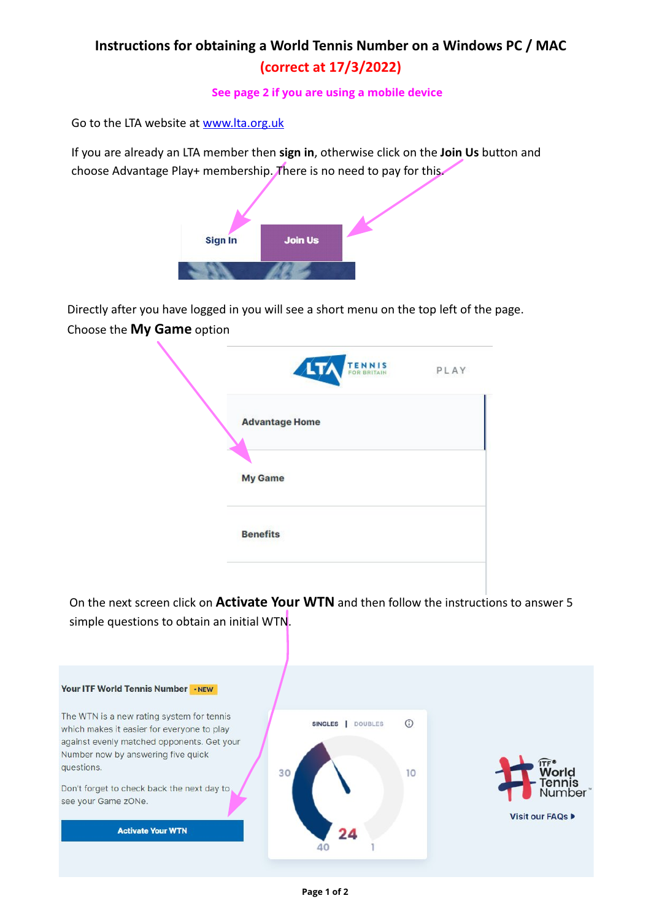## **Instructions for obtaining a World Tennis Number on a Windows PC / MAC (correct at 17/3/2022)**

**See page 2 if you are using a mobile device**

Go to the LTA website at [www.lta.org.uk](http://www.lta.org.uk)

If you are already an LTA member then **sign in**, otherwise click on the **Join Us** button and choose Advantage Play+ membership. There is no need to pay for this.



Directly after you have logged in you will see a short menu on the top left of the page. Choose the **My Game** option

| PLAY |
|------|
|      |
|      |
|      |
|      |

On the next screen click on **Activate Your WTN** and then follow the instructions to answer 5 simple questions to obtain an initial WTN.